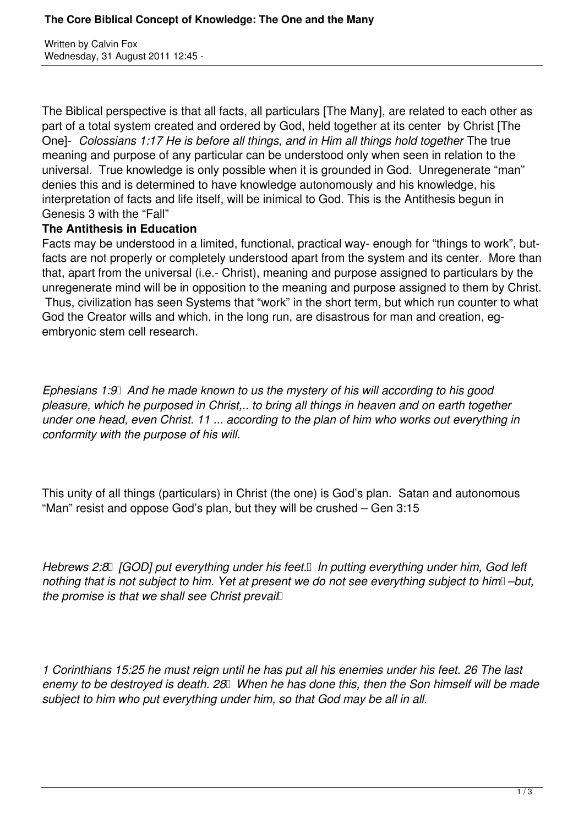Written by Calvin Fox Wednesday, 31 August 2011 12:45 -

The Biblical perspective is that all facts, all particulars [The Many], are related to each other as part of a total system created and ordered by God, held together at its center by Christ [The One]- *Colossians 1:17 He is before all things, and in Him all things hold together* The true meaning and purpose of any particular can be understood only when seen in relation to the universal. True knowledge is only possible when it is grounded in God. Unregenerate "man" denies this and is determined to have knowledge autonomously and his knowledge, his interpretation of facts and life itself, will be inimical to God. This is the Antithesis begun in Genesis 3 with the "Fall"

## **The Antithesis in Education**

Facts may be understood in a limited, functional, practical way- enough for "things to work", butfacts are not properly or completely understood apart from the system and its center. More than that, apart from the universal (i.e.- Christ), meaning and purpose assigned to particulars by the unregenerate mind will be in opposition to the meaning and purpose assigned to them by Christ. Thus, civilization has seen Systems that "work" in the short term, but which run counter to what God the Creator wills and which, in the long run, are disastrous for man and creation, egembryonic stem cell research.

*Ephesians 1:9 And he made known to us the mystery of his will according to his good pleasure, which he purposed in Christ,.. to bring all things in heaven and on earth together under one head, even Christ. 11 ... according to the plan of him who works out everything in conformity with the purpose of his will.*

This unity of all things (particulars) in Christ (the one) is God's plan. Satan and autonomous "Man" resist and oppose God's plan, but they will be crushed – Gen 3:15

*Hebrews 2:8 [GOD] put everything under his feet. In putting everything under him, God left nothing that is not subject to him. Yet at present we do not see everything subject to him* –but, *the promise is that we shall see Christ prevail* 

*1 Corinthians 15:25 he must reign until he has put all his enemies under his feet. 26 The last* enemy to be destroyed is death. 28 *When he has done this, then the Son himself will be made subject to him who put everything under him, so that God may be all in all.*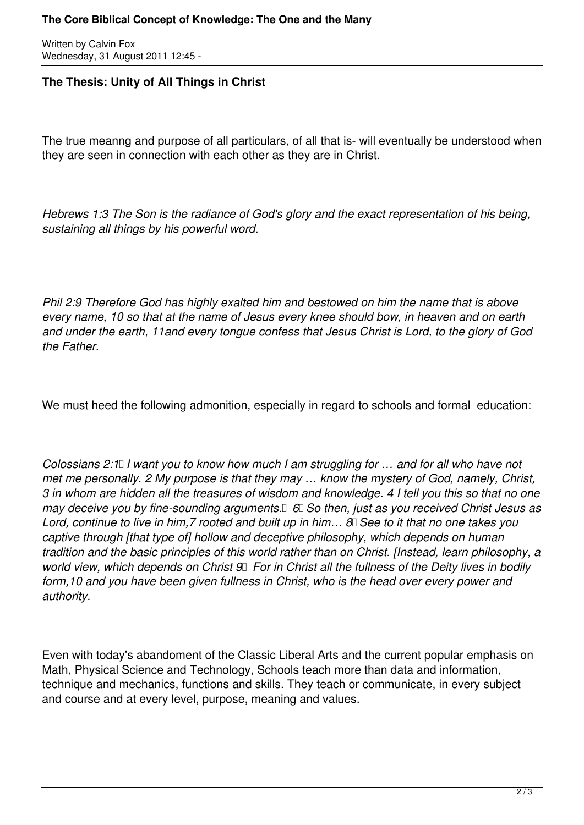Written by Calvin Fox Wednesday, 31 August 2011 12:45 -

## **The Thesis: Unity of All Things in Christ**

The true meanng and purpose of all particulars, of all that is- will eventually be understood when they are seen in connection with each other as they are in Christ.

*Hebrews 1:3 The Son is the radiance of God's glory and the exact representation of his being, sustaining all things by his powerful word.* 

*Phil 2:9 Therefore God has highly exalted him and bestowed on him the name that is above every name, 10 so that at the name of Jesus every knee should bow, in heaven and on earth and under the earth, 11and every tongue confess that Jesus Christ is Lord, to the glory of God the Father.*

We must heed the following admonition, especially in regard to schools and formal education:

*Colossians 2:1 I want you to know how much I am struggling for ... and for all who have not met me personally. 2 My purpose is that they may … know the mystery of God, namely, Christ, 3 in whom are hidden all the treasures of wisdom and knowledge. 4 I tell you this so that no one may deceive you by fine-sounding arguments.*  $\Box$  *6* $\Box$  *So then, just as you received Christ Jesus as* Lord, continue to live in him, 7 rooted and built up in him... 8 See to it that no one takes you *captive through [that type of] hollow and deceptive philosophy, which depends on human tradition and the basic principles of this world rather than on Christ. [Instead, learn philosophy, a world view, which depends on Christ 9 For in Christ all the fullness of the Deity lives in bodily form,10 and you have been given fullness in Christ, who is the head over every power and authority.* 

Even with today's abandoment of the Classic Liberal Arts and the current popular emphasis on Math, Physical Science and Technology, Schools teach more than data and information, technique and mechanics, functions and skills. They teach or communicate, in every subject and course and at every level, purpose, meaning and values.